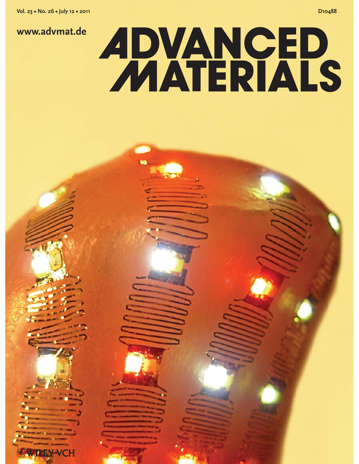**Vol. 23 • No. 26 • July 12 • 2011**

**www.advmat.de**

# **ADVANCED**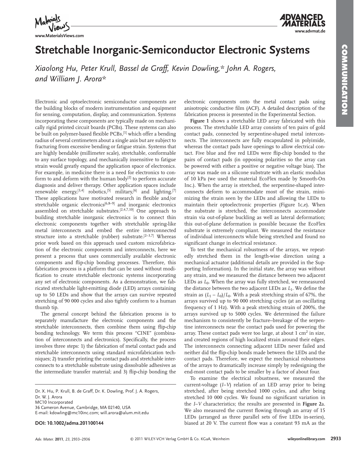

**www.MaterialsViews.com**



# **Stretchable Inorganic-Semiconductor Electronic Systems**

*Xiaolong Hu, Peter Krull, Bassel de Graff, Kevin Dowling,\* John A. Rogers, and William J. Arora \** 

 Electronic and optoelectronic semiconductor components are the building blocks of modern instrumentation and equipment for sensing, computation, display, and communication. Systems incorporating these components are typically made on mechanically rigid printed circuit boards (PCBs). These systems can also be built on polymer-based flexible PCBs,<sup>[1]</sup> which offer a bending radius of several centimeters about a single axis but are subject to fracturing from excessive bending or fatigue strain. Systems that are highly bendable (millimeter scale), stretchable, conformable to any surface topology, and mechanically insensitive to fatigue strain would greatly expand the application space of electronics. For example, in medicine there is a need for electronics to conform to and deform with the human body<sup>[2]</sup> to perform accurate diagnosis and deliver therapy. Other application spaces include renewable energy,<sup>[3,4]</sup> robotics,<sup>[5]</sup> military,<sup>[6]</sup> and lighting.<sup>[7]</sup> These applications have motivated research in flexible and/or stretchable organic electronics<sup>[6,8-9]</sup> and inorganic electronics assembled on stretchable substrates.<sup>[2,4,7,10]</sup> One approach to building stretchable inorganic electronics is to connect thin electronic components together with stretchable spring-like metal interconnects and embed the entire interconnected structure into a stretchable (rubber) substrate.<sup>[2-3,7]</sup> Whereas prior work based on this approach used custom microfabrication of the electronic components and interconnects, here we present a process that uses commercially available electronic components and flip-chip bonding processes. Therefore, this fabrication process is a platform that can be used without modification to create stretchable electronic systems incorporating any set of electronic components. As a demonstration, we fabricated stretchable light-emitting diode (LED) arrays containing up to 50 LEDs and show that the arrays can survive repeated stretching of 90 000 cycles and also tightly conform to a human thumb tip.

 The general concept behind the fabrication process is to separately manufacture the electronic components and the stretchable interconnects, then combine them using flip-chip bonding technology. We term this process "CINE" (combination of interconnects and electronics). Specifically, the process involves three steps: 1) the fabrication of metal contact pads and stretchable interconnects using standard microfabrication techniques; 2) transfer printing the contact pads and stretchable interconnects to a stretchable substrate using dissolvable adhesives as the intermediate transfer material; and 3) flip-chip bonding the

Dr. X. Hu, P. Krull, B. de Graff, Dr. K. Dowling, Prof. J. A. Rogers, Dr. W. J. Arora MC10 Incorporated 36 Cameron Avenue, Cambridge, MA 02140, USA E-mail: kdowling@mc10inc.com; will.arora@alum.mit.edu

electronic components onto the metal contact pads using anisotropic conductive film (ACF). A detailed description of the fabrication process is presented in the Experimental Section.

**Figure 1** shows a stretchable LED array fabricated with this process. The stretchable LED array consists of ten pairs of gold contact pads, connected by serpentine-shaped metal interconnects. The interconnects are fully encapsulated in polyimide, whereas the contact pads have openings to allow electrical contact. Five blue and five red LEDs were flip-chip bonded to the pairs of contact pads (in opposing polarities so the array can be powered with either a positive or negative voltage bias). The array was made on a silicone substrate with an elastic modulus of 10 kPa (we used the material EcoFlex made by Smooth-On Inc.). When the array is stretched, the serpentine-shaped interconnects deform to accommodate most of the strain, minimizing the strain seen by the LEDs and allowing the LEDs to maintain their optoelectronic properties (Figure 1c,e). When the substrate is stretched, the interconnects accommodate strain via out-of-plane buckling as well as lateral deformation; this out-of-plane deformation is possible because the EcoFlex substrate is extremely compliant. We measured the resistance of individual interconnects while being stretched and found no significant change in electrical resistance.

 To test the mechanical robustness of the arrays, we repeatedly stretched them in the length-wise direction using a mechanical actuator (additional details are provided in the Supporting Information). In the initial state, the array was without any strain, and we measured the distance between two adjacent LEDs as *L*<sub>0</sub>. When the array was fully stretched, we remeasured the distance between the two adjacent LEDs as *L*<sub>1</sub>. We define the strain as  $(L_1 - L_0)/L_0$ . With a peak stretching strain of 67%, the arrays survived up to 90 000 stretching cycles (at an oscillating frequency of 1 Hz). With a peak stretching strain of 200%, the arrays survived up to 5000 cycles. We determined the failure mechanism to consistently be fracture–breakage of the serpentine interconnects near the contact pads used for powering the array. These contact pads were too large, at about 1  $\text{cm}^2$  in size, and created regions of high localized strain around their edges. The interconnects connecting adjacent LEDs never failed and neither did the flip-chip bonds made between the LEDs and the contact pads. Therefore, we expect the mechanical robustness of the arrays to dramatically increase simply by redesigning the end-most contact pads to be smaller by a factor of about four.

 To examine the electrical robustness, we measured the current-voltage (*I*-*V*) relation of an LED array prior to being stretched, after being stretched 1000 cycles, and after being stretched 10 000 cycles. We found no significant variation in the *I* – *V* characteristics; the results are presented in **Figure 2** a. We also measured the current flowing through an array of 15 LEDs (arranged as three parallel sets of five LEDs in-series), **DOI: 10.1002/adma.201100144 biased at 20 V. The current flow was a constant 93 mA as the**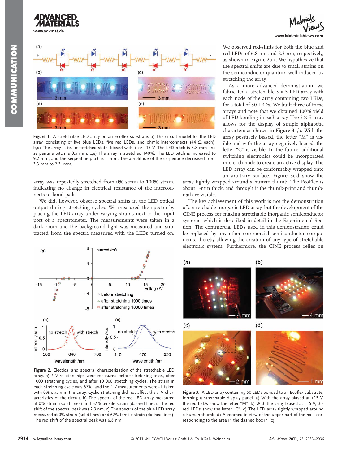# **www.advmat.de**





Figure 1. A stretchable LED array on an Ecoflex substrate. a) The circuit model for the LED array, consisting of five blue LEDs, five red LEDs, and ohmic interconnects (44  $\Omega$  each). b,d) The array is its unstretched state, biased with + or -15 V. The LED pitch is 3.8 mm and serpentine pitch is 0.5 mm. c,e) The array is stretched 140%. The LED pitch is increased to 9.2 mm, and the serpentine pitch is 1 mm. The amplitude of the serpentine decreased from 3.3 mm to 2.3 mm.

array was repeatedly stretched from 0% strain to 100% strain, indicating no change in electrical resistance of the interconnects or bond pads.

 We did, however, observe spectral shifts in the LED optical output during stretching cycles. We measured the spectra by placing the LED array under varying strains next to the input port of a spectrometer. The measurements were taken in a dark room and the background light was measured and subtracted from the spectra measured with the LEDs turned on.



Figure 2. Electical and spectral characterization of the stretchable LED array. a) *I-V* relationships were measured before stretching tests, after 1000 stretching cycles, and after 10 000 stretching cycles. The strain in each stretching cycle was 67%, and the *I*-V measurements were all taken with 0% strain in the array. Cyclic stretching did not affect the *I*-V characteristics of the circuit. b) The spectra of the red LED array measured at 0% strain (solid lines) and 67% tensile strain (dashed lines). The red shift of the spectral peak was 2.3 nm. c) The spectra of the blue LED array measured at 0% strain (solid lines) and 67% tensile strain (dashed lines). The red shift of the spectral peak was 6.8 nm.

We observed red-shifts for both the blue and red LEDs of 6.8 nm and 2.3 nm, respectively, as shown in Figure 2b,c. We hypothesize that the spectral shifts are due to small strains on the semiconductor quantum well induced by stretching the array.

 As a more advanced demonstration, we fabricated a stretchable  $5 \times 5$  LED array with each node of the array containing two LEDs, for a total of 50 LEDs. We built three of these arrays and note that we obtained 100% yield of LED bonding in each array. The  $5 \times 5$  array allows for the display of simple alphabetic characters as shown in **Figure 3** a,b. With the array positively biased, the letter "M" is visible and with the array negatively biased, the letter "C" is visible. In the future, additional switching electronics could be incorporated into each node to create an active display. The LED array can be conformably wrapped onto an arbitrary surface. Figure 3c,d show the

array tightly wrapped around a human thumb. The EcoFlex is about 1-mm thick, and through it the thumb-print and thumbnail are visible.

 The key achievement of this work is not the demonstration of a stretchable inorganic LED array, but the development of the CINE process for making stretchable inorganic semiconductor systems, which is described in detail in the Experimental Section. The commercial LEDs used in this demonstration could be replaced by any other commercial semiconductor components, thereby allowing the creation of any type of stretchable electronic system. Furthermore, the CINE process relies on



Figure 3. A LED array containing 50 LEDs bonded to an Ecoflex substrate, forming a stretchable display panel. a) With the array biased at  $+15$  V, the red LEDs show the letter "M". b) With the array biased at –15 V, the red LEDs show the letter "C". c) The LED array tightly wrapped around a human thumb. d) A zoomed-in view of the upper part of the nail, corresponding to the area in the dashed box in (c).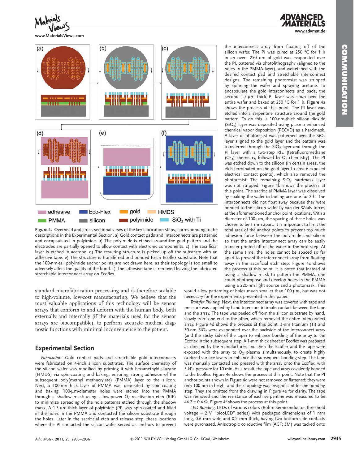

**www.MaterialsViews.com**



Figure 4. Overhead and cross-sectional views of the key fabrication steps, corresponding to the descriptions in the Experimental Section. a) Gold contact pads and interconnects are patterned and encapsulated in polyimide. b) The polyimide is etched around the gold pattern and the electrodes are partially opened to allow contact with electronic components. c) The sacrificial layer is etched in acetone. d) The resulting structure is picked up off the substrate with an adhesive tape. e) The structure is transferred and bonded to an Ecoflex substrate. Note that the 100-nm-tall polyimide anchor points are not drawn here, as their topology is too small to adversely affect the quality of the bond. f) The adhesive tape is removed leaving the fabricated stretchable interconnect array on Ecoflex.

standard microfabrication processing and is therefore scalable to high-volume, low-cost manufacturing. We believe that the most valuable applications of this technology will be sensor arrays that conform to and deform with the human body, both externally and internally (if the materials used for the sensor arrays are biocompatible), to perform accurate medical diagnostic functions with minimal inconvenience to the patient.

### **Experimental Section**

*Fabrication*: Gold contact pads and stretchable gold interconnects were fabricated on 4-inch silicon substrates. The surface chemistry of the silicon wafer was modified by priming it with hexamethyldisilazane (HMDS) via spin-coating and baking, ensuring strong adhesion of the subsequent poly(methyl methacrylate) (PMMA) layer to the silicon. Next, a 100-nm-thick layer of PMMA was deposited by spin-coating and baking. 100-μm-diameter holes were etched into the PMMA through a shadow mask using a low-power  $O_2$  reactive-ion etch (RIE) to minimize spreading of the hole patterns etched through the shadow mask. A 1.5-um-thick layer of polyimide (PI) was spin-coated and filled in the holes in the PMMA and contacted the silicon substrate through the holes. Later in the sacrificial etch and release step, these locations where the PI contacted the silicon wafer served as anchors to prevent

the interconnect array from floating off of the silicon wafer. The PI was cured at 250 °C for 1 h in an oven. 250 nm of gold was evaporated over the PI, pattered via photolithography (aligned to the holes in the PMMA layer), and wet-etched with the desired contact pad and stretchable interconnect designs. The remaining photoresist was stripped by spinning the wafer and spraying acetone. To encapsulate the gold interconnects and pads, the second 1.5-μm thick PI layer was spun over the entire wafer and baked at 250 ° C for 1 h. **Figure 4**<sup>a</sup> shows the process at this point. The PI layer was etched into a serpentine structure around the gold pattern. To do this, a 100-nm-thick silicon dioxide  $(SiO<sub>2</sub>)$  layer was deposited using plasma enhanced chemical vapor deposition (PECVD) as a hardmask. A layer of photoresist was patterned over the  $SiO<sub>2</sub>$ layer aligned to the gold layer and the pattern was transferred through the  $SiO<sub>2</sub>$  layer and through the PI layer with a two-step RIE (tetrafluoromethane ( $CF_4$ ) chemistry, followed by  $O_2$  chemistry). The PI was etched down to the silicon (in certain areas, the etch terminated on the gold layer to create exposed electrical contact points), which also removed the photoresist. The remaining  $SiO<sub>2</sub>$  hardmask layer was not stripped. Figure 4b shows the process at this point. The sacrificial PMMA layer was dissolved by soaking the wafer in boiling acetone for 2 h. The interconnects did not float away because they were bonded to the silicon wafer by van der Waals forces at the aforementioned anchor point locations. With a diameter of 100 μm, the spacing of these holes was chosen to be 1 mm apart. It is important to limit the total area of the anchor points to prevent too much adhesion force between the polyimide and silicon so that the entire interconnect array can be easily transfer printed off of the wafer in the next step. At the same time, the holes cannot be spaced so far apart to prevent the interconnect array from floating away in the sacrificial etch step. Figure 4c shows the process at this point. It is noted that instead of using a shadow mask to pattern the PMMA, one could photoexpose and develop holes in the PMMA using a 220-nm light source and a photomask. This

would allow patterning of holes much smaller than 100 μm, but was not necessary for the experiments presented in this paper.

*Transfer Printing*: Next, the interconnect array was covered with tape and pressure was applied by hand to ensure intimate contact between the tape and the array. The tape was peeled off from the silicon substrate by hand, slowly from one end to the other, which removed the entire interconnect array. Figure 4d shows the process at this point. 3-nm titanium (Ti) and  $30$ -nm SiO<sub>2</sub> were evaporated over the backside of the interconnect array (and the sticky side of the tape) to enhance bonding of the array to the Ecoflex in the subsequent step. A 1-mm thick sheet of Ecoflex was prepared as directed by the manufacturer, and then the Ecoflex and the tape were exposed with the array to  $O<sub>2</sub>$  plasma simultaneously, to create highly oxidized surface layers to enhance the subsequent bonding step. The tape was manually contacted and pressed with the array onto the Ecoflex, with 5-kPa pressure for 10 min. As a result, the tape and array covalently bonded to the Ecoflex. Figure 4e shows the process at this point. Note that the PI anchor points shown in Figure 4d were not removed or flattened; they were only 100 nm in height and their topology was insignificant for the bonding step. They are omitted from the drawing in Figure 4e for clarity. The tape was removed and the resistance of each serpentine was measured to be 44.2  $\pm$  0.4  $\Omega$ . Figure 4f shows the process at this point.

LED Bonding: LEDs of various colors (Rohm Semiconductor, threshold voltage  $\approx$  2 V, "picoLED" series) with packaged dimensions of 1 mm long, 0.6 mm wide and 0.2 mm thick, having two bottom-side contacts were purchased. Anisotropic conductive film (ACF; 3M) was tacked onto